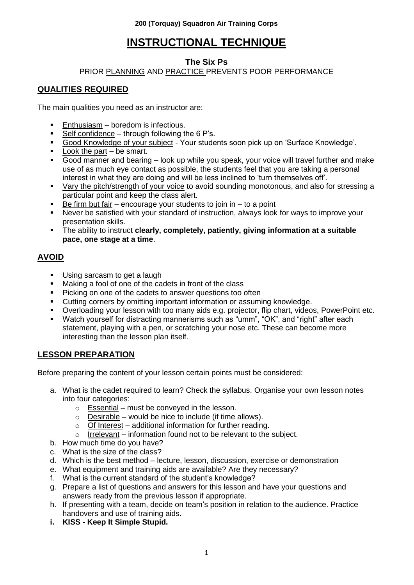# **INSTRUCTIONAL TECHNIQUE**

### **The Six Ps**

### PRIOR PLANNING AND PRACTICE PREVENTS POOR PERFORMANCE

# **QUALITIES REQUIRED**

The main qualities you need as an instructor are:

- Enthusiasm boredom is infectious.
- $\overline{\phantom{a}}$  Self confidence through following the 6 P's.
- Good Knowledge of your subject Your students soon pick up on "Surface Knowledge".
- Look the part be smart.
- Good manner and bearing look up while you speak, your voice will travel further and make use of as much eye contact as possible, the students feel that you are taking a personal interest in what they are doing and will be less inclined to "turn themselves off".
- Vary the pitch/strength of your voice to avoid sounding monotonous, and also for stressing a particular point and keep the class alert.
- $\blacksquare$  Be firm but fair encourage your students to join in to a point
- Never be satisfied with your standard of instruction, always look for ways to improve your presentation skills.
- The ability to instruct **clearly, completely, patiently, giving information at a suitable pace, one stage at a time**.

# **AVOID**

- Using sarcasm to get a laugh
- Making a fool of one of the cadets in front of the class
- **Picking on one of the cadets to answer questions too often**
- Cutting corners by omitting important information or assuming knowledge.
- Overloading your lesson with too many aids e.g. projector, flip chart, videos, PowerPoint etc.
- Watch yourself for distracting mannerisms such as "umm", "OK", and "right" after each statement, playing with a pen, or scratching your nose etc. These can become more interesting than the lesson plan itself.

### **LESSON PREPARATION**

Before preparing the content of your lesson certain points must be considered:

- a. What is the cadet required to learn? Check the syllabus. Organise your own lesson notes into four categories:
	- $\circ$  Essential must be conveyed in the lesson.
	- $\circ$  Desirable would be nice to include (if time allows).
	- o Of Interest additional information for further reading.
	- $\circ$  Irrelevant information found not to be relevant to the subject.
- b. How much time do you have?
- c. What is the size of the class?
- d. Which is the best method lecture, lesson, discussion, exercise or demonstration
- e. What equipment and training aids are available? Are they necessary?
- f. What is the current standard of the student"s knowledge?
- g. Prepare a list of questions and answers for this lesson and have your questions and answers ready from the previous lesson if appropriate.
- h. If presenting with a team, decide on team"s position in relation to the audience. Practice handovers and use of training aids.
- **i. KISS - Keep It Simple Stupid.**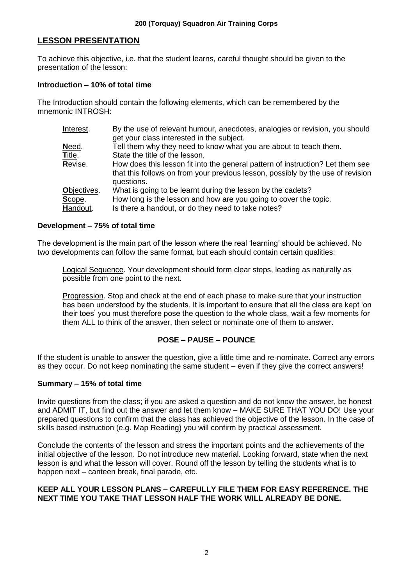### **LESSON PRESENTATION**

To achieve this objective, i.e. that the student learns, careful thought should be given to the presentation of the lesson:

#### **Introduction – 10% of total time**

The Introduction should contain the following elements, which can be remembered by the mnemonic INTROSH:

| Interest.   | By the use of relevant humour, anecdotes, analogies or revision, you should<br>get your class interested in the subject. |
|-------------|--------------------------------------------------------------------------------------------------------------------------|
| Need.       | Tell them why they need to know what you are about to teach them.                                                        |
| Title.      | State the title of the lesson.                                                                                           |
| Revise.     | How does this lesson fit into the general pattern of instruction? Let them see                                           |
|             | that this follows on from your previous lesson, possibly by the use of revision                                          |
|             | questions.                                                                                                               |
| Objectives. | What is going to be learnt during the lesson by the cadets?                                                              |
| Scope.      | How long is the lesson and how are you going to cover the topic.                                                         |
| Handout.    | Is there a handout, or do they need to take notes?                                                                       |
|             |                                                                                                                          |

#### **Development – 75% of total time**

The development is the main part of the lesson where the real "learning" should be achieved. No two developments can follow the same format, but each should contain certain qualities:

Logical Sequence. Your development should form clear steps, leading as naturally as possible from one point to the next.

Progression. Stop and check at the end of each phase to make sure that your instruction has been understood by the students. It is important to ensure that all the class are kept "on their toes" you must therefore pose the question to the whole class, wait a few moments for them ALL to think of the answer, then select or nominate one of them to answer.

### **POSE – PAUSE – POUNCE**

If the student is unable to answer the question, give a little time and re-nominate. Correct any errors as they occur. Do not keep nominating the same student – even if they give the correct answers!

#### **Summary – 15% of total time**

Invite questions from the class; if you are asked a question and do not know the answer, be honest and ADMIT IT, but find out the answer and let them know – MAKE SURE THAT YOU DO! Use your prepared questions to confirm that the class has achieved the objective of the lesson. In the case of skills based instruction (e.g. Map Reading) you will confirm by practical assessment.

Conclude the contents of the lesson and stress the important points and the achievements of the initial objective of the lesson. Do not introduce new material. Looking forward, state when the next lesson is and what the lesson will cover. Round off the lesson by telling the students what is to happen next – canteen break, final parade, etc.

#### **KEEP ALL YOUR LESSON PLANS – CAREFULLY FILE THEM FOR EASY REFERENCE. THE NEXT TIME YOU TAKE THAT LESSON HALF THE WORK WILL ALREADY BE DONE.**